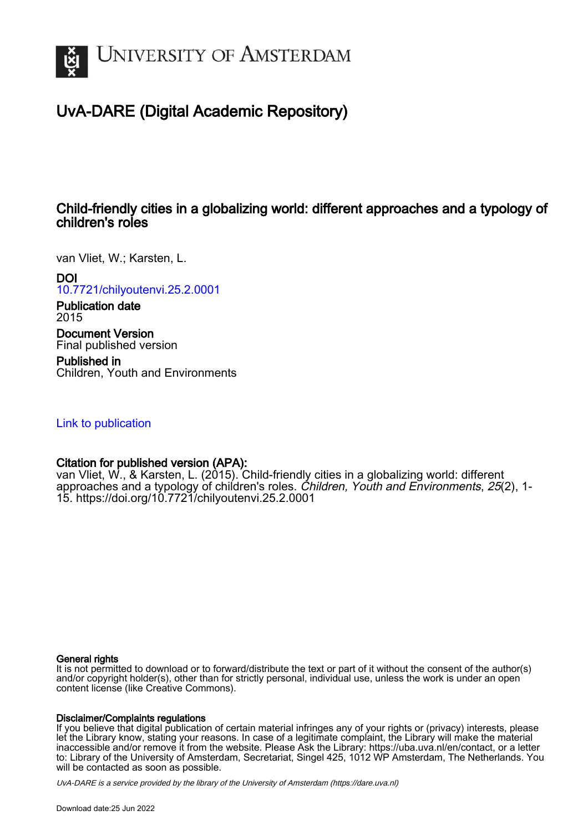

# UvA-DARE (Digital Academic Repository)

## Child-friendly cities in a globalizing world: different approaches and a typology of children's roles

van Vliet, W.; Karsten, L.

DOI

[10.7721/chilyoutenvi.25.2.0001](https://doi.org/10.7721/chilyoutenvi.25.2.0001)

Publication date 2015

Document Version Final published version

Published in Children, Youth and Environments

## [Link to publication](https://dare.uva.nl/personal/pure/en/publications/childfriendly-cities-in-a-globalizing-world-different-approaches-and-a-typology-of-childrens-roles(d2bc902d-b138-4c62-9b9e-e13b3de0e254).html)

## Citation for published version (APA):

van Vliet, W., & Karsten, L. (2015). Child-friendly cities in a globalizing world: different approaches and a typology of children's roles. Children, Youth and Environments, 25(2), 1- 15. <https://doi.org/10.7721/chilyoutenvi.25.2.0001>

#### General rights

It is not permitted to download or to forward/distribute the text or part of it without the consent of the author(s) and/or copyright holder(s), other than for strictly personal, individual use, unless the work is under an open content license (like Creative Commons).

#### Disclaimer/Complaints regulations

If you believe that digital publication of certain material infringes any of your rights or (privacy) interests, please let the Library know, stating your reasons. In case of a legitimate complaint, the Library will make the material inaccessible and/or remove it from the website. Please Ask the Library: https://uba.uva.nl/en/contact, or a letter to: Library of the University of Amsterdam, Secretariat, Singel 425, 1012 WP Amsterdam, The Netherlands. You will be contacted as soon as possible.

UvA-DARE is a service provided by the library of the University of Amsterdam (http*s*://dare.uva.nl)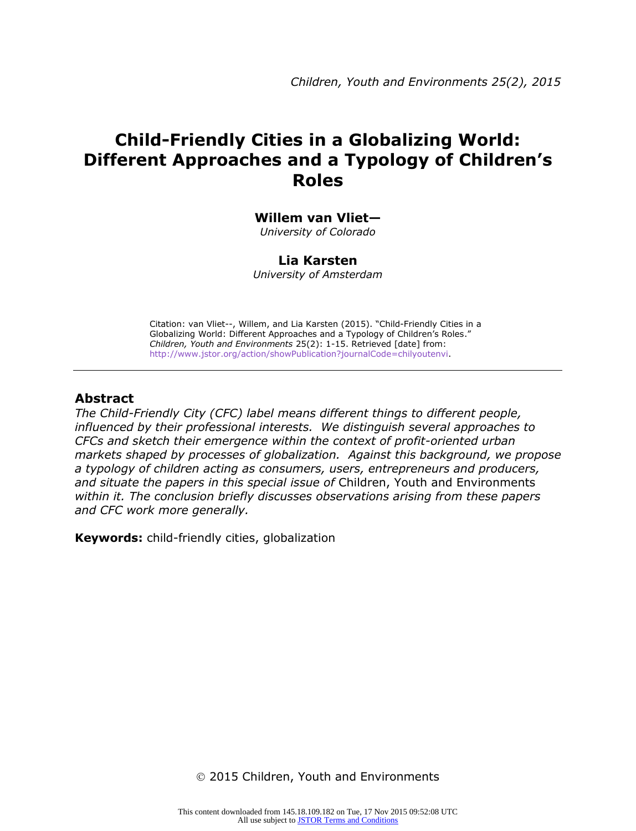# **Child-Friendly Cities in a Globalizing World: Different Approaches and a Typology of Children's Roles**

## **Willem van Vliet—**

*University of Colorado*

#### **Lia Karsten**

*University of Amsterdam*

Citation: van Vliet--, Willem, and Lia Karsten (2015). "Child-Friendly Cities in a Globalizing World: Different Approaches and a Typology of Children's Roles." *Children, Youth and Environments* 25(2): 1-15. Retrieved [date] from: [http://www.jstor.org/action/showPublication?journalCode=chilyoutenvi.](http://www.jstor.org/action/showPublication?journalCode=chilyoutenvi)

#### **Abstract**

*The Child-Friendly City (CFC) label means different things to different people, influenced by their professional interests. We distinguish several approaches to CFCs and sketch their emergence within the context of profit-oriented urban markets shaped by processes of globalization. Against this background, we propose a typology of children acting as consumers, users, entrepreneurs and producers, and situate the papers in this special issue of* Children, Youth and Environments *within it. The conclusion briefly discusses observations arising from these papers and CFC work more generally.*

**Keywords:** child-friendly cities, globalization

2015 Children, Youth and Environments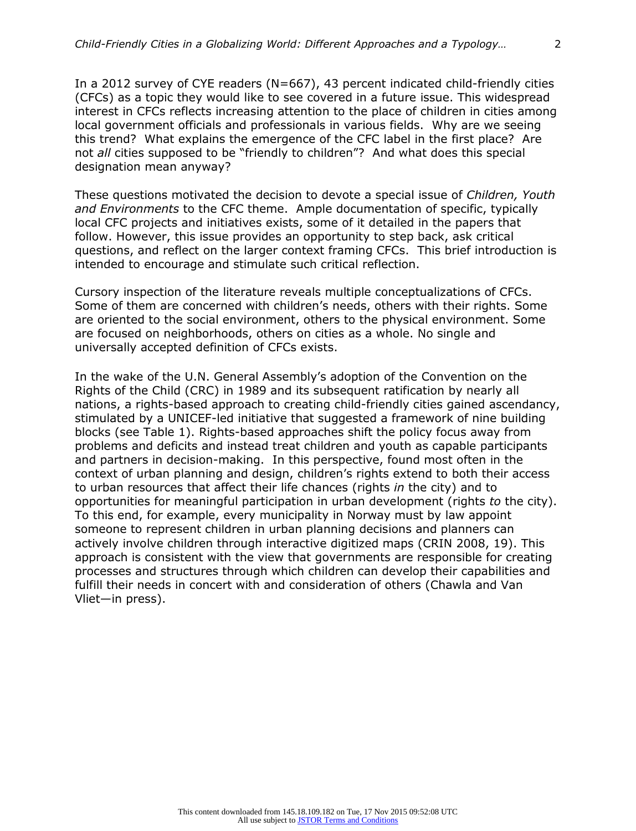In a 2012 survey of CYE readers (N=667), 43 percent indicated child-friendly cities (CFCs) as a topic they would like to see covered in a future issue. This widespread interest in CFCs reflects increasing attention to the place of children in cities among local government officials and professionals in various fields. Why are we seeing this trend? What explains the emergence of the CFC label in the first place? Are not *all* cities supposed to be "friendly to children"? And what does this special designation mean anyway?

These questions motivated the decision to devote a special issue of *Children, Youth and Environments* to the CFC theme. Ample documentation of specific, typically local CFC projects and initiatives exists, some of it detailed in the papers that follow. However, this issue provides an opportunity to step back, ask critical questions, and reflect on the larger context framing CFCs. This brief introduction is intended to encourage and stimulate such critical reflection.

Cursory inspection of the literature reveals multiple conceptualizations of CFCs. Some of them are concerned with children's needs, others with their rights. Some are oriented to the social environment, others to the physical environment. Some are focused on neighborhoods, others on cities as a whole. No single and universally accepted definition of CFCs exists.

In the wake of the U.N. General Assembly's adoption of the Convention on the Rights of the Child (CRC) in 1989 and its subsequent ratification by nearly all nations, a rights-based approach to creating child-friendly cities gained ascendancy, stimulated by a UNICEF-led initiative that suggested a framework of nine building blocks (see Table 1). Rights-based approaches shift the policy focus away from problems and deficits and instead treat children and youth as capable participants and partners in decision-making. In this perspective, found most often in the context of urban planning and design, children's rights extend to both their access to urban resources that affect their life chances (rights *in* the city) and to opportunities for meaningful participation in urban development (rights *to* the city). To this end, for example, every municipality in Norway must by law appoint someone to represent children in urban planning decisions and planners can actively involve children through interactive digitized maps (CRIN 2008, 19). This approach is consistent with the view that governments are responsible for creating processes and structures through which children can develop their capabilities and fulfill their needs in concert with and consideration of others (Chawla and Van Vliet—in press).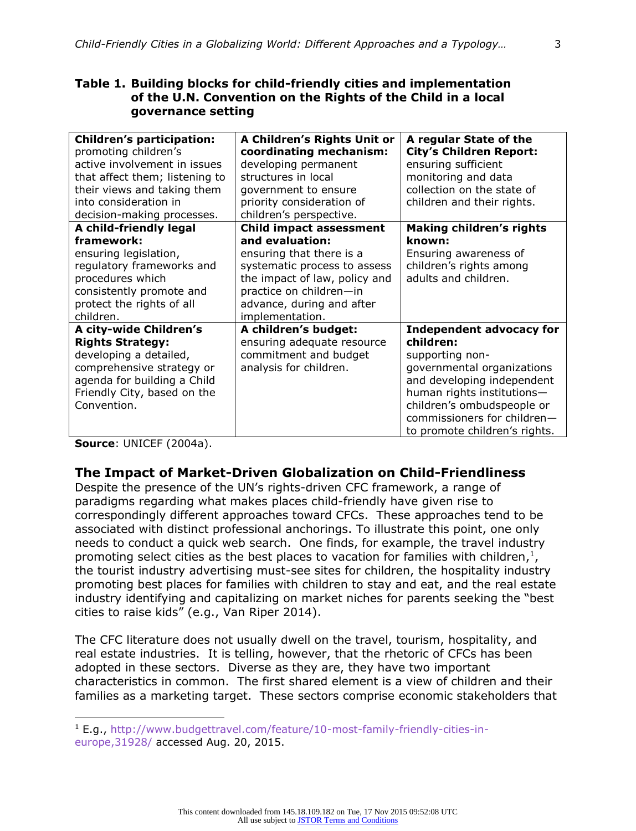#### **Table 1. Building blocks for child-friendly cities and implementation of the U.N. Convention on the Rights of the Child in a local governance setting**

| <b>Children's participation:</b> | A Children's Rights Unit or    | A regular State of the          |
|----------------------------------|--------------------------------|---------------------------------|
|                                  |                                |                                 |
| promoting children's             | coordinating mechanism:        | <b>City's Children Report:</b>  |
| active involvement in issues     | developing permanent           | ensuring sufficient             |
| that affect them; listening to   | structures in local            | monitoring and data             |
| their views and taking them      | government to ensure           | collection on the state of      |
| into consideration in            | priority consideration of      | children and their rights.      |
| decision-making processes.       | children's perspective.        |                                 |
| A child-friendly legal           | <b>Child impact assessment</b> | Making children's rights        |
| framework:                       | and evaluation:                | known:                          |
| ensuring legislation,            | ensuring that there is a       | Ensuring awareness of           |
| regulatory frameworks and        | systematic process to assess   | children's rights among         |
| procedures which                 | the impact of law, policy and  | adults and children.            |
| consistently promote and         | practice on children-in        |                                 |
| protect the rights of all        | advance, during and after      |                                 |
| children.                        | implementation.                |                                 |
| A city-wide Children's           | A children's budget:           | <b>Independent advocacy for</b> |
| <b>Rights Strategy:</b>          | ensuring adequate resource     | children:                       |
| developing a detailed,           | commitment and budget          | supporting non-                 |
| comprehensive strategy or        | analysis for children.         | governmental organizations      |
| agenda for building a Child      |                                | and developing independent      |
| Friendly City, based on the      |                                | human rights institutions-      |
| Convention.                      |                                | children's ombudspeople or      |
|                                  |                                | commissioners for children-     |
|                                  |                                |                                 |
|                                  |                                | to promote children's rights.   |

**Source**: UNICEF (2004a).

 $\overline{a}$ 

#### **The Impact of Market-Driven Globalization on Child-Friendliness**

Despite the presence of the UN's rights-driven CFC framework, a range of paradigms regarding what makes places child-friendly have given rise to correspondingly different approaches toward CFCs. These approaches tend to be associated with distinct professional anchorings. To illustrate this point, one only needs to conduct a quick web search. One finds, for example, the travel industry promoting select cities as the best places to vacation for families with children,<sup>1</sup>, the tourist industry advertising must-see sites for children, the hospitality industry promoting best places for families with children to stay and eat, and the real estate industry identifying and capitalizing on market niches for parents seeking the "best cities to raise kids" (e.g., Van Riper 2014).

The CFC literature does not usually dwell on the travel, tourism, hospitality, and real estate industries. It is telling, however, that the rhetoric of CFCs has been adopted in these sectors. Diverse as they are, they have two important characteristics in common. The first shared element is a view of children and their families as a marketing target. These sectors comprise economic stakeholders that

<sup>1</sup> E.g., [http://www.budgettravel.com/feature/10-most-family-friendly-cities-in](http://www.budgettravel.com/feature/10-most-family-friendly-cities-in-europe,31928/)[europe,31928/](http://www.budgettravel.com/feature/10-most-family-friendly-cities-in-europe,31928/) accessed Aug. 20, 2015.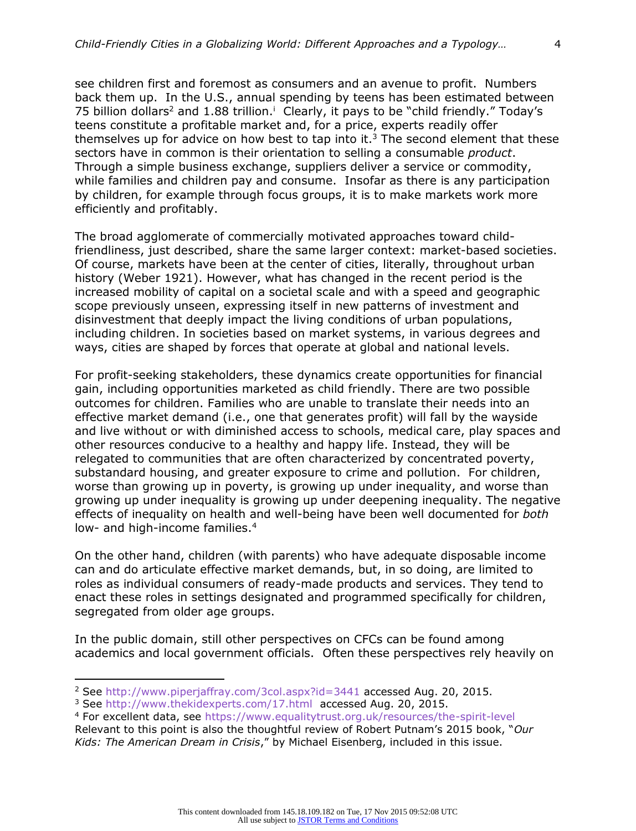see children first and foremost as consumers and an avenue to profit. Numbers back them up. In the U.S., annual spending by teens has been estimated between 75 billion dollars<sup>2</sup> and 1.88 trillion.<sup> $\mathbf{i}$ </sup> Clearly, it pays to be "child friendly." Today's teens constitute a profitable market and, for a price, experts readily offer themselves up for advice on how best to tap into it.<sup>3</sup> The second element that these sectors have in common is their orientation to selling a consumable *product*. Through a simple business exchange, suppliers deliver a service or commodity, while families and children pay and consume. Insofar as there is any participation by children, for example through focus groups, it is to make markets work more efficiently and profitably.

The broad agglomerate of commercially motivated approaches toward childfriendliness, just described, share the same larger context: market-based societies. Of course, markets have been at the center of cities, literally, throughout urban history (Weber 1921). However, what has changed in the recent period is the increased mobility of capital on a societal scale and with a speed and geographic scope previously unseen, expressing itself in new patterns of investment and disinvestment that deeply impact the living conditions of urban populations, including children. In societies based on market systems, in various degrees and ways, cities are shaped by forces that operate at global and national levels.

For profit-seeking stakeholders, these dynamics create opportunities for financial gain, including opportunities marketed as child friendly. There are two possible outcomes for children. Families who are unable to translate their needs into an effective market demand (i.e., one that generates profit) will fall by the wayside and live without or with diminished access to schools, medical care, play spaces and other resources conducive to a healthy and happy life. Instead, they will be relegated to communities that are often characterized by concentrated poverty, substandard housing, and greater exposure to crime and pollution. For children, worse than growing up in poverty, is growing up under inequality, and worse than growing up under inequality is growing up under deepening inequality. The negative effects of inequality on health and well-being have been well documented for *both* low- and high-income families.<sup>4</sup>

On the other hand, children (with parents) who have adequate disposable income can and do articulate effective market demands, but, in so doing, are limited to roles as individual consumers of ready-made products and services. They tend to enact these roles in settings designated and programmed specifically for children, segregated from older age groups.

In the public domain, still other perspectives on CFCs can be found among academics and local government officials. Often these perspectives rely heavily on

<sup>2</sup> See<http://www.piperjaffray.com/3col.aspx?id=3441> accessed Aug. 20, 2015.

<sup>3</sup> See<http://www.thekidexperts.com/17.html>accessed Aug. 20, 2015.

<sup>4</sup> For excellent data, see<https://www.equalitytrust.org.uk/resources/the-spirit-level> Relevant to this point is also the thoughtful review of Robert Putnam's 2015 book, "*Our Kids: The American Dream in Crisis*," by Michael Eisenberg, included in this issue.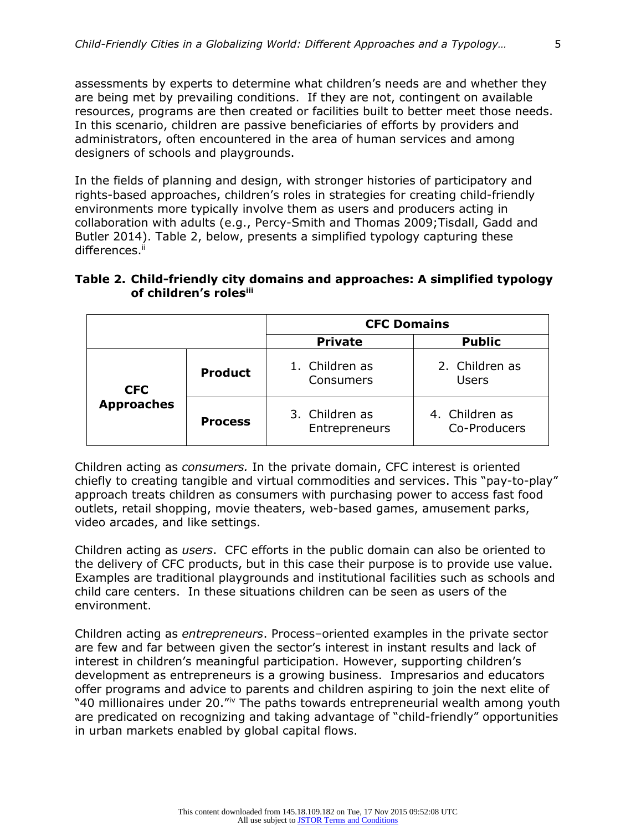assessments by experts to determine what children's needs are and whether they are being met by prevailing conditions. If they are not, contingent on available resources, programs are then created or facilities built to better meet those needs. In this scenario, children are passive beneficiaries of efforts by providers and administrators, often encountered in the area of human services and among designers of schools and playgrounds.

In the fields of planning and design, with stronger histories of participatory and rights-based approaches, children's roles in strategies for creating child-friendly environments more typically involve them as users and producers acting in collaboration with adults (e.g., Percy-Smith and Thomas 2009;Tisdall, Gadd and Butler 2014). Table 2, below, presents a simplified typology capturing these differences.<sup>ii</sup>

### **Table 2. Child-friendly city domains and approaches: A simplified typology of children's rolesiii**

|                                 |                | <b>CFC Domains</b>              |                                |
|---------------------------------|----------------|---------------------------------|--------------------------------|
|                                 |                | <b>Private</b>                  | <b>Public</b>                  |
| <b>CFC</b><br><b>Approaches</b> | <b>Product</b> | 1. Children as<br>Consumers     | 2. Children as<br><b>Users</b> |
|                                 | <b>Process</b> | 3. Children as<br>Entrepreneurs | 4. Children as<br>Co-Producers |

Children acting as *consumers.* In the private domain, CFC interest is oriented chiefly to creating tangible and virtual commodities and services. This "pay-to-play" approach treats children as consumers with purchasing power to access fast food outlets, retail shopping, movie theaters, web-based games, amusement parks, video arcades, and like settings.

Children acting as *users*. CFC efforts in the public domain can also be oriented to the delivery of CFC products, but in this case their purpose is to provide use value. Examples are traditional playgrounds and institutional facilities such as schools and child care centers. In these situations children can be seen as users of the environment.

Children acting as *entrepreneurs*. Process–oriented examples in the private sector are few and far between given the sector's interest in instant results and lack of interest in children's meaningful participation. However, supporting children's development as entrepreneurs is a growing business. Impresarios and educators offer programs and advice to parents and children aspiring to join the next elite of "40 millionaires under 20." The paths towards entrepreneurial wealth among youth are predicated on recognizing and taking advantage of "child-friendly" opportunities in urban markets enabled by global capital flows.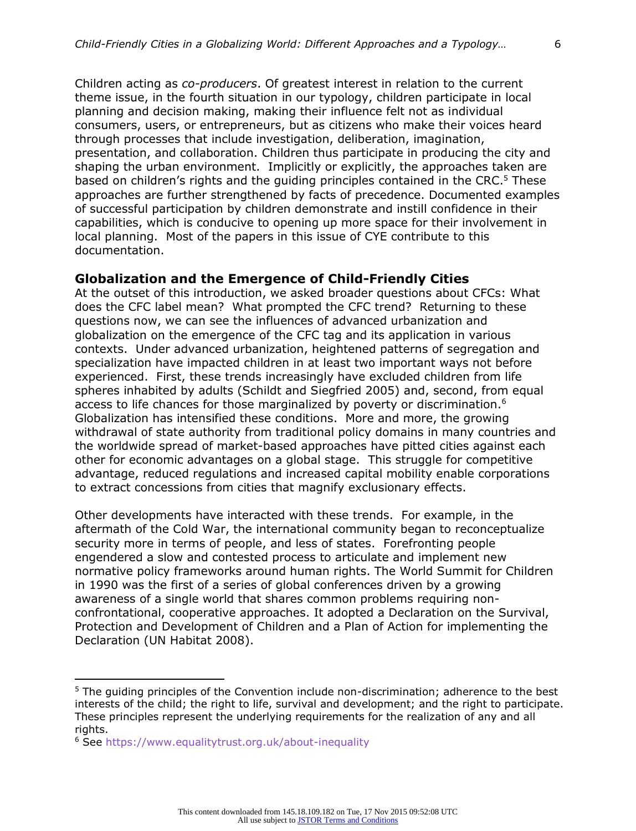Children acting as *co-producers*. Of greatest interest in relation to the current theme issue, in the fourth situation in our typology, children participate in local planning and decision making, making their influence felt not as individual consumers, users, or entrepreneurs, but as citizens who make their voices heard through processes that include investigation, deliberation, imagination, presentation, and collaboration. Children thus participate in producing the city and shaping the urban environment. Implicitly or explicitly, the approaches taken are based on children's rights and the guiding principles contained in the CRC.<sup>5</sup> These approaches are further strengthened by facts of precedence. Documented examples of successful participation by children demonstrate and instill confidence in their capabilities, which is conducive to opening up more space for their involvement in local planning. Most of the papers in this issue of CYE contribute to this documentation.

#### **Globalization and the Emergence of Child-Friendly Cities**

At the outset of this introduction, we asked broader questions about CFCs: What does the CFC label mean? What prompted the CFC trend? Returning to these questions now, we can see the influences of advanced urbanization and globalization on the emergence of the CFC tag and its application in various contexts. Under advanced urbanization, heightened patterns of segregation and specialization have impacted children in at least two important ways not before experienced. First, these trends increasingly have excluded children from life spheres inhabited by adults (Schildt and Siegfried 2005) and, second, from equal access to life chances for those marginalized by poverty or discrimination. 6 Globalization has intensified these conditions. More and more, the growing withdrawal of state authority from traditional policy domains in many countries and the worldwide spread of market-based approaches have pitted cities against each other for economic advantages on a global stage. This struggle for competitive advantage, reduced regulations and increased capital mobility enable corporations to extract concessions from cities that magnify exclusionary effects.

Other developments have interacted with these trends. For example, in the aftermath of the Cold War, the international community began to reconceptualize security more in terms of people, and less of states. Forefronting people engendered a slow and contested process to articulate and implement new normative policy frameworks around human rights. The World Summit for Children in 1990 was the first of a series of global conferences driven by a growing awareness of a single world that shares common problems requiring nonconfrontational, cooperative approaches. It adopted a Declaration on the Survival, Protection and Development of Children and a Plan of Action for implementing the Declaration (UN Habitat 2008).

<sup>&</sup>lt;sup>5</sup> The quiding principles of the Convention include non-discrimination; adherence to the best interests of the child; the right to life, survival and development; and the right to participate. These principles represent the underlying requirements for the realization of any and all rights.

<sup>6</sup> See<https://www.equalitytrust.org.uk/about-inequality>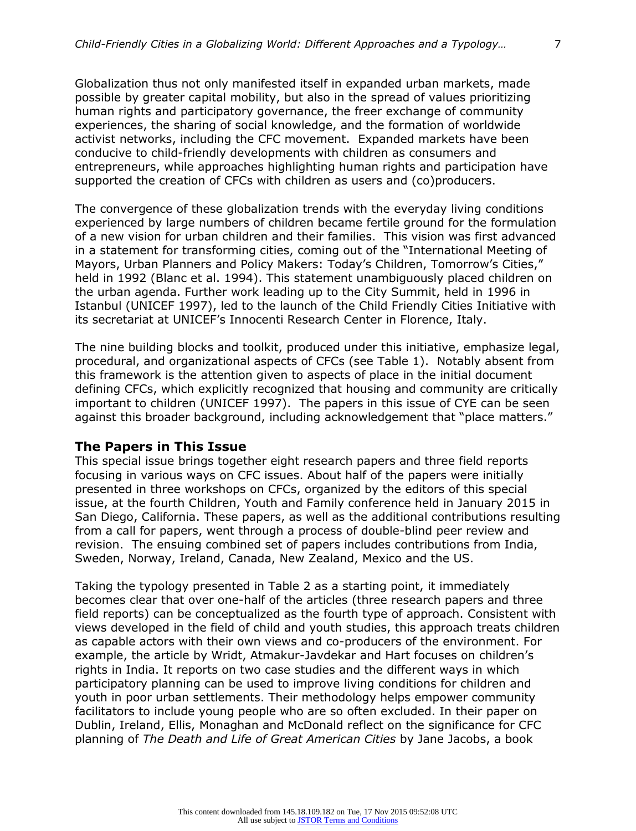Globalization thus not only manifested itself in expanded urban markets, made possible by greater capital mobility, but also in the spread of values prioritizing human rights and participatory governance, the freer exchange of community experiences, the sharing of social knowledge, and the formation of worldwide activist networks, including the CFC movement. Expanded markets have been conducive to child-friendly developments with children as consumers and entrepreneurs, while approaches highlighting human rights and participation have supported the creation of CFCs with children as users and (co)producers.

The convergence of these globalization trends with the everyday living conditions experienced by large numbers of children became fertile ground for the formulation of a new vision for urban children and their families. This vision was first advanced in a statement for transforming cities, coming out of the "International Meeting of Mayors, Urban Planners and Policy Makers: Today's Children, Tomorrow's Cities," held in 1992 (Blanc et al. 1994). This statement unambiguously placed children on the urban agenda. Further work leading up to the City Summit, held in 1996 in Istanbul (UNICEF 1997), led to the launch of the Child Friendly Cities Initiative with its secretariat at UNICEF's Innocenti Research Center in Florence, Italy.

The nine building blocks and toolkit, produced under this initiative, emphasize legal, procedural, and organizational aspects of CFCs (see Table 1). Notably absent from this framework is the attention given to aspects of place in the initial document defining CFCs, which explicitly recognized that housing and community are critically important to children (UNICEF 1997). The papers in this issue of CYE can be seen against this broader background, including acknowledgement that "place matters."

#### **The Papers in This Issue**

This special issue brings together eight research papers and three field reports focusing in various ways on CFC issues. About half of the papers were initially presented in three workshops on CFCs, organized by the editors of this special issue, at the fourth Children, Youth and Family conference held in January 2015 in San Diego, California. These papers, as well as the additional contributions resulting from a call for papers, went through a process of double-blind peer review and revision. The ensuing combined set of papers includes contributions from India, Sweden, Norway, Ireland, Canada, New Zealand, Mexico and the US.

Taking the typology presented in Table 2 as a starting point, it immediately becomes clear that over one-half of the articles (three research papers and three field reports) can be conceptualized as the fourth type of approach. Consistent with views developed in the field of child and youth studies, this approach treats children as capable actors with their own views and co-producers of the environment. For example, the article by Wridt, Atmakur-Javdekar and Hart focuses on children's rights in India. It reports on two case studies and the different ways in which participatory planning can be used to improve living conditions for children and youth in poor urban settlements. Their methodology helps empower community facilitators to include young people who are so often excluded. In their paper on Dublin, Ireland, Ellis, Monaghan and McDonald reflect on the significance for CFC planning of *The Death and Life of Great American Cities* by Jane Jacobs, a book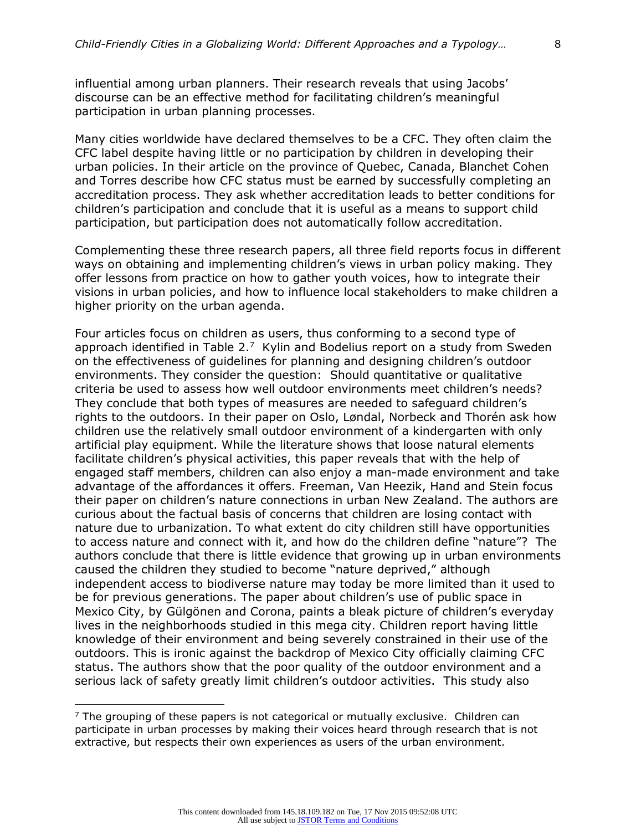influential among urban planners. Their research reveals that using Jacobs' discourse can be an effective method for facilitating children's meaningful participation in urban planning processes.

Many cities worldwide have declared themselves to be a CFC. They often claim the CFC label despite having little or no participation by children in developing their urban policies. In their article on the province of Quebec, Canada, Blanchet Cohen and Torres describe how CFC status must be earned by successfully completing an accreditation process. They ask whether accreditation leads to better conditions for children's participation and conclude that it is useful as a means to support child participation, but participation does not automatically follow accreditation.

Complementing these three research papers, all three field reports focus in different ways on obtaining and implementing children's views in urban policy making. They offer lessons from practice on how to gather youth voices, how to integrate their visions in urban policies, and how to influence local stakeholders to make children a higher priority on the urban agenda.

Four articles focus on children as users, thus conforming to a second type of approach identified in Table 2.<sup>7</sup> Kylin and Bodelius report on a study from Sweden on the effectiveness of guidelines for planning and designing children's outdoor environments. They consider the question: Should quantitative or qualitative criteria be used to assess how well outdoor environments meet children's needs? They conclude that both types of measures are needed to safeguard children's rights to the outdoors. In their paper on Oslo, Løndal, Norbeck and Thorén ask how children use the relatively small outdoor environment of a kindergarten with only artificial play equipment. While the literature shows that loose natural elements facilitate children's physical activities, this paper reveals that with the help of engaged staff members, children can also enjoy a man-made environment and take advantage of the affordances it offers. Freeman, Van Heezik, Hand and Stein focus their paper on children's nature connections in urban New Zealand. The authors are curious about the factual basis of concerns that children are losing contact with nature due to urbanization. To what extent do city children still have opportunities to access nature and connect with it, and how do the children define "nature"? The authors conclude that there is little evidence that growing up in urban environments caused the children they studied to become "nature deprived," although independent access to biodiverse nature may today be more limited than it used to be for previous generations. The paper about children's use of public space in Mexico City, by Gülgönen and Corona, paints a bleak picture of children's everyday lives in the neighborhoods studied in this mega city. Children report having little knowledge of their environment and being severely constrained in their use of the outdoors. This is ironic against the backdrop of Mexico City officially claiming CFC status. The authors show that the poor quality of the outdoor environment and a serious lack of safety greatly limit children's outdoor activities. This study also

 $<sup>7</sup>$  The grouping of these papers is not categorical or mutually exclusive. Children can</sup> participate in urban processes by making their voices heard through research that is not extractive, but respects their own experiences as users of the urban environment.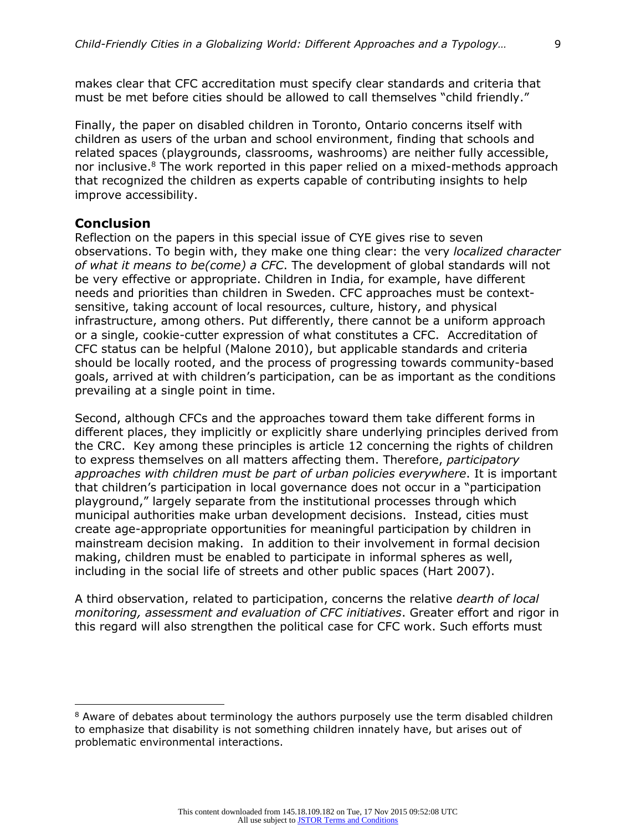makes clear that CFC accreditation must specify clear standards and criteria that must be met before cities should be allowed to call themselves "child friendly."

Finally, the paper on disabled children in Toronto, Ontario concerns itself with children as users of the urban and school environment, finding that schools and related spaces (playgrounds, classrooms, washrooms) are neither fully accessible, nor inclusive.<sup>8</sup> The work reported in this paper relied on a mixed-methods approach that recognized the children as experts capable of contributing insights to help improve accessibility.

#### **Conclusion**

 $\overline{\phantom{a}}$ 

Reflection on the papers in this special issue of CYE gives rise to seven observations. To begin with, they make one thing clear: the very *localized character of what it means to be(come) a CFC*. The development of global standards will not be very effective or appropriate. Children in India, for example, have different needs and priorities than children in Sweden. CFC approaches must be contextsensitive, taking account of local resources, culture, history, and physical infrastructure, among others. Put differently, there cannot be a uniform approach or a single, cookie-cutter expression of what constitutes a CFC. Accreditation of CFC status can be helpful (Malone 2010), but applicable standards and criteria should be locally rooted, and the process of progressing towards community-based goals, arrived at with children's participation, can be as important as the conditions prevailing at a single point in time.

Second, although CFCs and the approaches toward them take different forms in different places, they implicitly or explicitly share underlying principles derived from the CRC. Key among these principles is article 12 concerning the rights of children to express themselves on all matters affecting them. Therefore, *participatory approaches with children must be part of urban policies everywhere*. It is important that children's participation in local governance does not occur in a "participation playground," largely separate from the institutional processes through which municipal authorities make urban development decisions. Instead, cities must create age-appropriate opportunities for meaningful participation by children in mainstream decision making. In addition to their involvement in formal decision making, children must be enabled to participate in informal spheres as well, including in the social life of streets and other public spaces (Hart 2007).

A third observation, related to participation, concerns the relative *dearth of local monitoring, assessment and evaluation of CFC initiatives*. Greater effort and rigor in this regard will also strengthen the political case for CFC work. Such efforts must

<sup>&</sup>lt;sup>8</sup> Aware of debates about terminology the authors purposely use the term disabled children to emphasize that disability is not something children innately have, but arises out of problematic environmental interactions.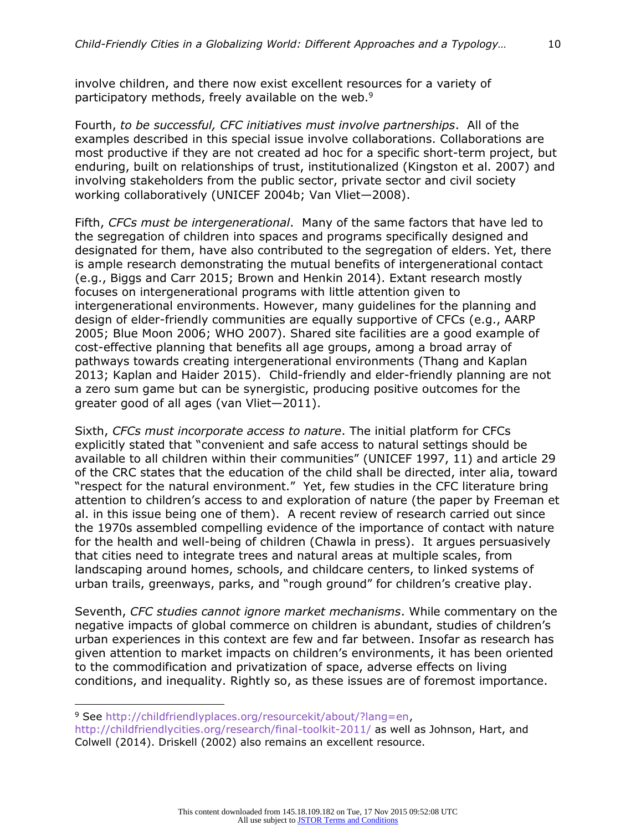involve children, and there now exist excellent resources for a variety of participatory methods, freely available on the web.<sup>9</sup>

Fourth, *to be successful, CFC initiatives must involve partnerships*. All of the examples described in this special issue involve collaborations. Collaborations are most productive if they are not created ad hoc for a specific short-term project, but enduring, built on relationships of trust, institutionalized (Kingston et al. 2007) and involving stakeholders from the public sector, private sector and civil society working collaboratively (UNICEF 2004b; Van Vliet—2008).

Fifth, *CFCs must be intergenerational*. Many of the same factors that have led to the segregation of children into spaces and programs specifically designed and designated for them, have also contributed to the segregation of elders. Yet, there is ample research demonstrating the mutual benefits of intergenerational contact (e.g., Biggs and Carr 2015; Brown and Henkin 2014). Extant research mostly focuses on intergenerational programs with little attention given to intergenerational environments. However, many guidelines for the planning and design of elder-friendly communities are equally supportive of CFCs (e.g., AARP 2005; Blue Moon 2006; WHO 2007). Shared site facilities are a good example of cost-effective planning that benefits all age groups, among a broad array of pathways towards creating intergenerational environments (Thang and Kaplan 2013; Kaplan and Haider 2015). Child-friendly and elder-friendly planning are not a zero sum game but can be synergistic, producing positive outcomes for the greater good of all ages (van Vliet—2011).

Sixth, *CFCs must incorporate access to nature*. The initial platform for CFCs explicitly stated that "convenient and safe access to natural settings should be available to all children within their communities" (UNICEF 1997, 11) and article 29 of the CRC states that the education of the child shall be directed, inter alia, toward "respect for the natural environment." Yet, few studies in the CFC literature bring attention to children's access to and exploration of nature (the paper by Freeman et al. in this issue being one of them). A recent review of research carried out since the 1970s assembled compelling evidence of the importance of contact with nature for the health and well-being of children (Chawla in press). It argues persuasively that cities need to integrate trees and natural areas at multiple scales, from landscaping around homes, schools, and childcare centers, to linked systems of urban trails, greenways, parks, and "rough ground" for children's creative play.

Seventh, *CFC studies cannot ignore market mechanisms*. While commentary on the negative impacts of global commerce on children is abundant, studies of children's urban experiences in this context are few and far between. Insofar as research has given attention to market impacts on children's environments, it has been oriented to the commodification and privatization of space, adverse effects on living conditions, and inequality. Rightly so, as these issues are of foremost importance.

<sup>9</sup> See [http://childfriendlyplaces.org/resourcekit/about/?lang=en,](http://childfriendlyplaces.org/resourcekit/about/?lang=en)

<http://childfriendlycities.org/research/final-toolkit-2011/> as well as Johnson, Hart, and Colwell (2014). Driskell (2002) also remains an excellent resource.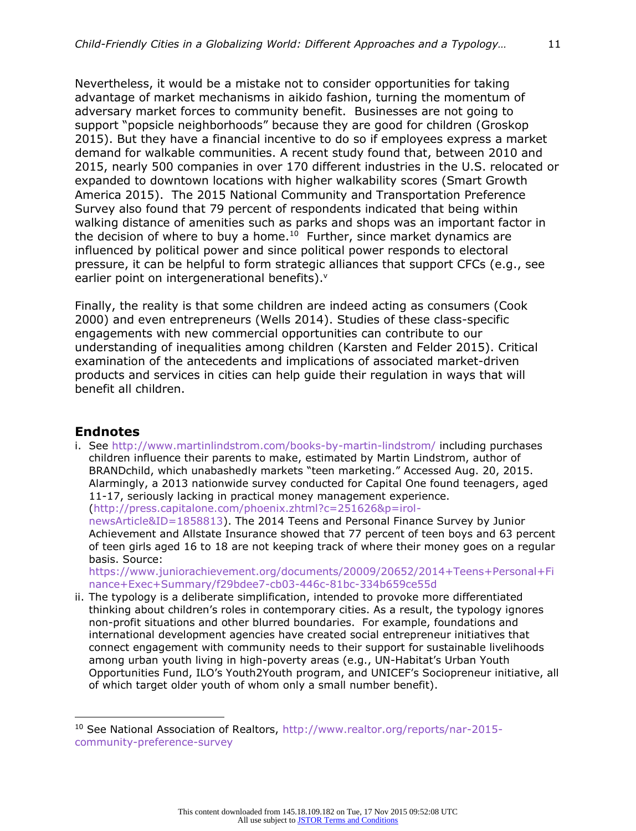Nevertheless, it would be a mistake not to consider opportunities for taking advantage of market mechanisms in aikido fashion, turning the momentum of adversary market forces to community benefit. Businesses are not going to support "popsicle neighborhoods" because they are good for children (Groskop 2015). But they have a financial incentive to do so if employees express a market demand for walkable communities. A recent study found that, between 2010 and 2015, nearly 500 companies in over 170 different industries in the U.S. relocated or expanded to downtown locations with higher walkability scores (Smart Growth America 2015). The [2015 National Community and Transportation Preference](http://www.realtor.org/reports/nar-2015-community-preference-survey)  [Survey](http://www.realtor.org/reports/nar-2015-community-preference-survey) also found that 79 percent of respondents indicated that being within walking distance of amenities such as parks and shops was an important factor in the decision of where to buy a home.<sup>10</sup> Further, since market dynamics are influenced by political power and since political power responds to electoral pressure, it can be helpful to form strategic alliances that support CFCs (e.g., see earlier point on intergenerational benefits).<sup>v</sup>

Finally, the reality is that some children are indeed acting as consumers (Cook 2000) and even entrepreneurs (Wells 2014). Studies of these class-specific engagements with new commercial opportunities can contribute to our understanding of inequalities among children (Karsten and Felder 2015). Critical examination of the antecedents and implications of associated market-driven products and services in cities can help guide their regulation in ways that will benefit all children.

#### **Endnotes**

 $\overline{a}$ 

i. See<http://www.martinlindstrom.com/books-by-martin-lindstrom/> including purchases children influence their parents to make, estimated by Martin Lindstrom, author of BRANDchild, which unabashedly markets "teen marketing." Accessed Aug. 20, 2015. Alarmingly, a 2013 nationwide survey conducted for Capital One found teenagers, aged 11-17, seriously lacking in practical money management experience. [\(http://press.capitalone.com/phoenix.zhtml?c=251626&p=irol-](http://press.capitalone.com/phoenix.zhtml?c=251626&p=irol-newsArticle&ID=1858813)

[newsArticle&ID=1858813\)](http://press.capitalone.com/phoenix.zhtml?c=251626&p=irol-newsArticle&ID=1858813). The 2014 Teens and Personal Finance Survey by Junior Achievement and Allstate Insurance showed that 77 percent of teen boys and 63 percent of teen girls aged 16 to 18 are not keeping track of where their money goes on a regular basis. Source:

[https://www.juniorachievement.org/documents/20009/20652/2014+Teens+Personal+Fi](https://www.juniorachievement.org/documents/20009/20652/2014+Teens+Personal+Finance+Exec+Summary/f29bdee7-cb03-446c-81bc-334b659ce55d) [nance+Exec+Summary/f29bdee7-cb03-446c-81bc-334b659ce55d](https://www.juniorachievement.org/documents/20009/20652/2014+Teens+Personal+Finance+Exec+Summary/f29bdee7-cb03-446c-81bc-334b659ce55d)

ii. The typology is a deliberate simplification, intended to provoke more differentiated thinking about children's roles in contemporary cities. As a result, the typology ignores non-profit situations and other blurred boundaries. For example, foundations and international development agencies have created social entrepreneur initiatives that connect engagement with community needs to their support for sustainable livelihoods among urban youth living in high-poverty areas (e.g., UN-Habitat's Urban Youth Opportunities Fund, ILO's Youth2Youth program, and UNICEF's Sociopreneur initiative, all of which target older youth of whom only a small number benefit).

<sup>&</sup>lt;sup>10</sup> See National Association of Realtors, [http://www.realtor.org/reports/nar-2015](http://www.realtor.org/reports/nar-2015-community-preference-survey) [community-preference-survey](http://www.realtor.org/reports/nar-2015-community-preference-survey)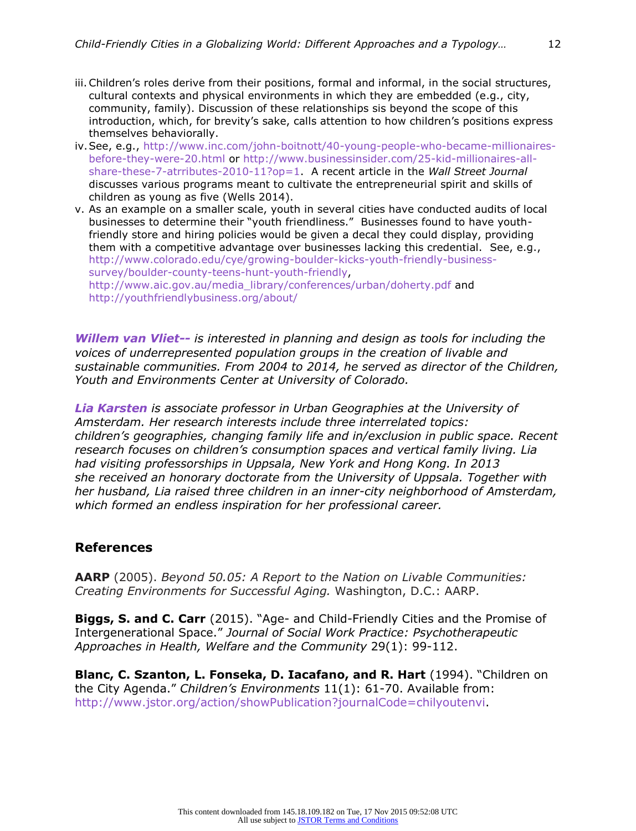- iii.Children's roles derive from their positions, formal and informal, in the social structures, cultural contexts and physical environments in which they are embedded (e.g., city, community, family). Discussion of these relationships sis beyond the scope of this introduction, which, for brevity's sake, calls attention to how children's positions express themselves behaviorally.
- iv.See, e.g., [http://www.inc.com/john-boitnott/40-young-people-who-became-millionaires](http://www.inc.com/john-boitnott/40-young-people-who-became-millionaires-before-they-were-20.html)[before-they-were-20.html](http://www.inc.com/john-boitnott/40-young-people-who-became-millionaires-before-they-were-20.html) or [http://www.businessinsider.com/25-kid-millionaires-all](http://www.businessinsider.com/25-kid-millionaires-all-share-these-7-atrributes-2010-11?op=1)[share-these-7-atrributes-2010-11?op=1.](http://www.businessinsider.com/25-kid-millionaires-all-share-these-7-atrributes-2010-11?op=1) A recent article in the *Wall Street Journal* discusses various programs meant to cultivate the entrepreneurial spirit and skills of children as young as five (Wells 2014).

v. As an example on a smaller scale, youth in several cities have conducted audits of local businesses to determine their "youth friendliness." Businesses found to have youthfriendly store and hiring policies would be given a decal they could display, providing them with a competitive advantage over businesses lacking this credential. See, e.g., [http://www.colorado.edu/cye/growing-boulder-kicks-youth-friendly-business](http://www.colorado.edu/cye/growing-boulder-kicks-youth-friendly-business-survey/boulder-county-teens-hunt-youth-friendly)[survey/boulder-county-teens-hunt-youth-friendly,](http://www.colorado.edu/cye/growing-boulder-kicks-youth-friendly-business-survey/boulder-county-teens-hunt-youth-friendly) [http://www.aic.gov.au/media\\_library/conferences/urban/doherty.pdf](http://www.aic.gov.au/media_library/conferences/urban/doherty.pdf) and <http://youthfriendlybusiness.org/about/>

*[Willem van Vliet--](http://www.colorado.edu/cgi-bin/cgi-proxy/plan/housing-info/child/indiadd.cgi?name=van+Vliet,+Willem) is interested in planning and design as tools for including the voices of underrepresented population groups in the creation of livable and sustainable communities. From 2004 to 2014, he served as director of the Children, Youth and Environments Center at University of Colorado.*

*[Lia Karsten](http://www.colorado.edu/cgi-bin/cgi-proxy/plan/housing-info/child/indiadd.cgi?name=Karsten,+Lia) is associate professor in Urban Geographies at the University of Amsterdam. Her research interests include three interrelated topics: children's geographies, changing family life and in/exclusion in public space. Recent research focuses on children's consumption spaces and vertical family living. Lia had visiting professorships in Uppsala, New York and Hong Kong. In 2013 she received an honorary doctorate from the University of Uppsala. Together with her husband, Lia raised three children in an inner-city neighborhood of Amsterdam, which formed an endless inspiration for her professional career.*

#### **References**

**AARP** (2005). *Beyond 50.05: A Report to the Nation on Livable Communities: Creating Environments for Successful Aging.* Washington, D.C.: AARP.

**Biggs, S. and C. Carr** (2015). "Age- and Child-Friendly Cities and the Promise of Intergenerational Space." *Journal of Social Work Practice: Psychotherapeutic Approaches in Health, Welfare and the Community* 29(1): 99-112.

**Blanc, C. Szanton, L. Fonseka, D. Iacafano, and R. Hart** (1994). "Children on the City Agenda." *Children's Environments* 11(1): 61-70. Available from: [http://www.jstor.org/action/showPublication?journalCode=chilyoutenvi.](http://www.jstor.org/action/showPublication?journalCode=chilyoutenvi)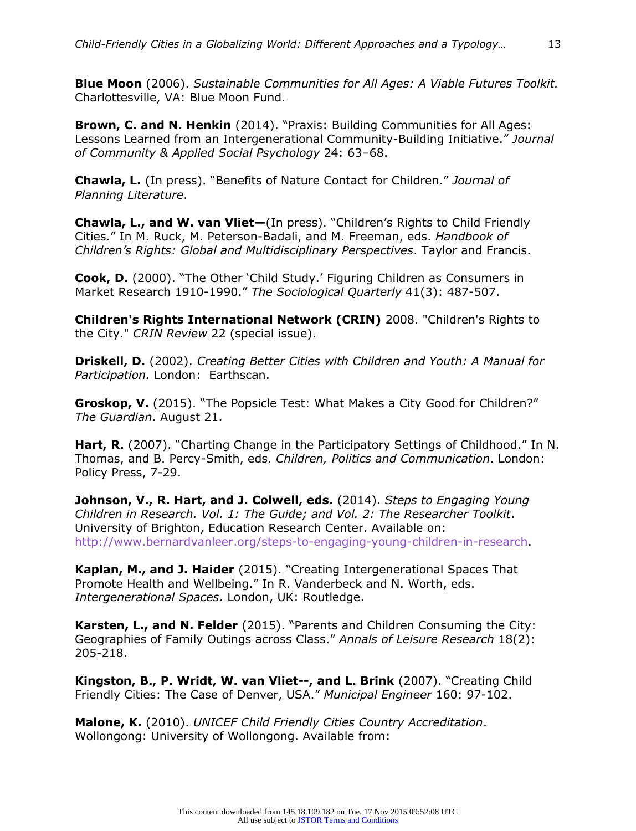**Blue Moon** (2006). *Sustainable Communities for All Ages: A Viable Futures Toolkit.* Charlottesville, VA: Blue Moon Fund.

**Brown, C. and N. Henkin** (2014). "Praxis: Building Communities for All Ages: Lessons Learned from an Intergenerational Community-Building Initiative." *Journal of Community & Applied Social Psychology* 24: 63–68.

**Chawla, L.** (In press). "Benefits of Nature Contact for Children." *Journal of Planning Literature*.

**Chawla, L., and W. van Vliet—**(In press). "Children's Rights to Child Friendly Cities." In M. Ruck, M. Peterson-Badali, and M. Freeman, eds. *Handbook of Children's Rights: Global and Multidisciplinary Perspectives*. Taylor and Francis.

**Cook, D.** (2000). "The Other 'Child Study.' Figuring Children as Consumers in Market Research 1910-1990." *The Sociological Quarterly* 41(3): 487-507.

**Children's Rights International Network (CRIN)** 2008. "Children's Rights to the City." *CRIN Review* 22 (special issue).

**Driskell, D.** (2002). *Creating Better Cities with Children and Youth: A Manual for Participation.* London: Earthscan.

**Groskop, V.** (2015). "The Popsicle Test: What Makes a City Good for Children?" *The Guardian*. August 21.

**Hart, R.** (2007). "Charting Change in the Participatory Settings of Childhood." In N. Thomas, and B. Percy-Smith, eds. *Children, Politics and Communication*. London: Policy Press, 7-29.

**Johnson, V., R. Hart, and J. Colwell, eds.** (2014). *Steps to Engaging Young Children in Research. Vol. 1: The Guide; and Vol. 2: The Researcher Toolkit*. University of Brighton, Education Research Center. Available on: [http://www.bernardvanleer.org/steps-to-engaging-young-children-in-research.](http://www.bernardvanleer.org/steps-to-engaging-young-children-in-research)

**Kaplan, M., and J. Haider** (2015). "Creating Intergenerational Spaces That Promote Health and Wellbeing." In R. Vanderbeck and N. Worth, eds. *Intergenerational Spaces*. London, UK: Routledge.

**Karsten, L., and N. Felder** (2015). "Parents and Children Consuming the City: Geographies of Family Outings across Class." *Annals of Leisure Research* 18(2): 205-218.

**Kingston, B., P. Wridt, W. van Vliet--, and L. Brink** (2007). "Creating Child Friendly Cities: The Case of Denver, USA." *Municipal Engineer* 160: 97-102.

**Malone, K.** (2010). *UNICEF Child Friendly Cities Country Accreditation*. Wollongong: University of Wollongong. Available from: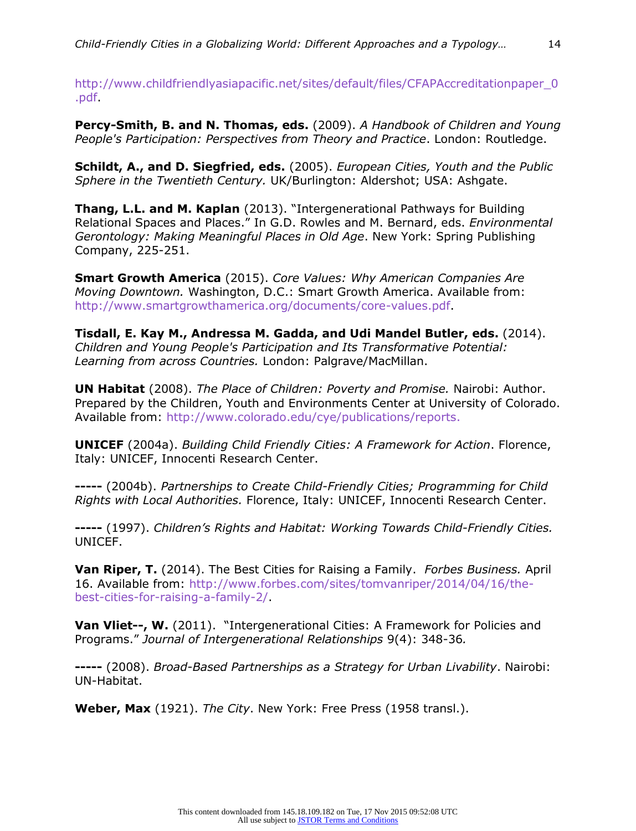[http://www.childfriendlyasiapacific.net/sites/default/files/CFAPAccreditationpaper\\_0](http://www.childfriendlyasiapacific.net/sites/default/files/CFAPAccreditationpaper_0.pdf) [.pdf.](http://www.childfriendlyasiapacific.net/sites/default/files/CFAPAccreditationpaper_0.pdf)

**Percy-Smith, B. and N. Thomas, eds.** (2009). *A Handbook of Children and Young People's Participation: Perspectives from Theory and Practice*. London: Routledge.

**Schildt, A., and D. Siegfried, eds.** (2005). *European Cities, Youth and the Public Sphere in the Twentieth Century.* UK/Burlington: Aldershot; USA: Ashgate.

**Thang, L.L. and M. Kaplan** (2013). "Intergenerational Pathways for Building Relational Spaces and Places." In G.D. Rowles and M. Bernard, eds. *Environmental Gerontology: Making Meaningful Places in Old Age*. New York: Spring Publishing Company, 225-251.

**Smart Growth America** (2015). *Core Values: Why American Companies Are Moving Downtown.* Washington, D.C.: Smart Growth America. Available from: [http://www.smartgrowthamerica.org/documents/core-values.pdf.](http://www.smartgrowthamerica.org/documents/core-values.pdf)

**[Tisdall,](http://www.palgrave.com/authors/author-detail/E.-Kay-M.-Tisdall/33273) E. Kay M., [Andressa M. Gadda,](http://www.palgrave.com/authors/author-detail/Andressa-M.-Gadda/33274) and [Udi Mandel Butler,](http://www.palgrave.com/authors/author-detail/Udi-Mandel-Butler/41938) eds.** (2014). *Children and Young People's Participation and Its Transformative Potential: Learning from across Countries.* London: Palgrave/MacMillan.

**UN Habitat** (2008). *The Place of Children: Poverty and Promise.* Nairobi: Author. Prepared by the Children, Youth and Environments Center at University of Colorado. Available from: [http://www.colorado.edu/cye/publications/reports.](http://www.colorado.edu/cye/publications/reports)

**UNICEF** (2004a). *Building Child Friendly Cities: A Framework for Action*. Florence, Italy: UNICEF, Innocenti Research Center.

**-----** (2004b). *Partnerships to Create Child-Friendly Cities; Programming for Child Rights with Local Authorities.* Florence, Italy: UNICEF, Innocenti Research Center.

**-----** (1997). *Children's Rights and Habitat: Working Towards Child-Friendly Cities.* UNICEF.

**Van Riper, T.** (2014). The Best Cities for Raising a Family. *Forbes Business.* April 16. Available from: [http://www.forbes.com/sites/tomvanriper/2014/04/16/the](http://www.forbes.com/sites/tomvanriper/2014/04/16/the-best-cities-for-raising-a-family-2/)[best-cities-for-raising-a-family-2/.](http://www.forbes.com/sites/tomvanriper/2014/04/16/the-best-cities-for-raising-a-family-2/)

**Van Vliet--, W.** (2011). "Intergenerational Cities: A Framework for Policies and Programs." *Journal of Intergenerational Relationships* 9(4): 348-36*.* 

**-----** (2008). *Broad-Based Partnerships as a Strategy for Urban Livability*. Nairobi: UN-Habitat.

**Weber, Max** (1921). *The City*. New York: Free Press (1958 transl.).